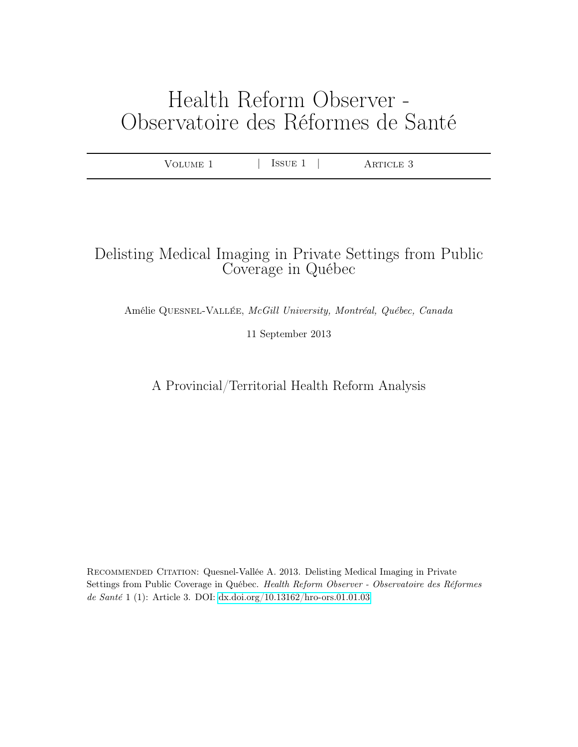# Health Reform Observer - Observatoire des Réformes de Santé

|  | TME 1<br>$\mathbf{H}$ | $\sim$ $\sim$ $\sim$ $\sim$ $\sim$<br>H,<br>- | $\cap$ T.E. $\ldots$<br>◡<br>. |  |
|--|-----------------------|-----------------------------------------------|--------------------------------|--|
|--|-----------------------|-----------------------------------------------|--------------------------------|--|

# Delisting Medical Imaging in Private Settings from Public Coverage in Québec

Amélie Quesnel-Vallée, McGill University, Montréal, Québec, Canada

11 September 2013

A Provincial/Territorial Health Reform Analysis

Recommended Citation: Quesnel-Vallée A. 2013. Delisting Medical Imaging in Private Settings from Public Coverage in Québec. Health Reform Observer - Observatoire des Réformes de Santé 1 (1): Article 3. DOI:<dx.doi.org/10.13162/hro-ors.01.01.03>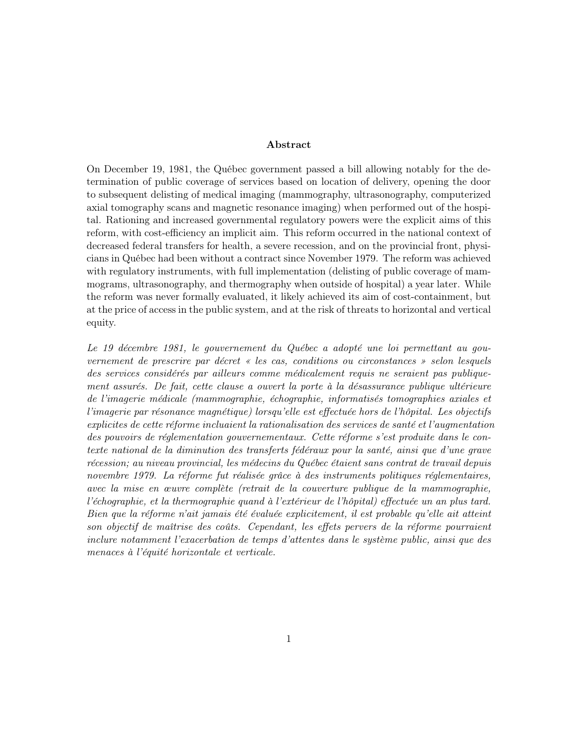# Abstract

On December 19, 1981, the Québec government passed a bill allowing notably for the determination of public coverage of services based on location of delivery, opening the door to subsequent delisting of medical imaging (mammography, ultrasonography, computerized axial tomography scans and magnetic resonance imaging) when performed out of the hospital. Rationing and increased governmental regulatory powers were the explicit aims of this reform, with cost-efficiency an implicit aim. This reform occurred in the national context of decreased federal transfers for health, a severe recession, and on the provincial front, physicians in Québec had been without a contract since November 1979. The reform was achieved with regulatory instruments, with full implementation (delisting of public coverage of mammograms, ultrasonography, and thermography when outside of hospital) a year later. While the reform was never formally evaluated, it likely achieved its aim of cost-containment, but at the price of access in the public system, and at the risk of threats to horizontal and vertical equity.

Le 19 décembre 1981, le gouvernement du Québec a adopté une loi permettant au gouvernement de prescrire par décret « les cas, conditions ou circonstances » selon lesquels des services considérés par ailleurs comme médicalement requis ne seraient pas publiquement assurés. De fait, cette clause a ouvert la porte à la désassurance publique ultérieure de l'imagerie médicale (mammographie, échographie, informatisés tomographies axiales et l'imagerie par résonance magnétique) lorsqu'elle est effectuée hors de l'hôpital. Les objectifs explicites de cette réforme incluaient la rationalisation des services de santé et l'augmentation des pouvoirs de réglementation gouvernementaux. Cette réforme s'est produite dans le contexte national de la diminution des transferts fédéraux pour la santé, ainsi que d'une grave récession; au niveau provincial, les médecins du Québec étaient sans contrat de travail depuis novembre 1979. La réforme fut réalisée grâce à des instruments politiques réglementaires, avec la mise en œuvre complète (retrait de la couverture publique de la mammographie, l'échographie, et la thermographie quand à l'extérieur de l'hôpital) effectuée un an plus tard. Bien que la réforme n'ait jamais été évaluée explicitement, il est probable qu'elle ait atteint son objectif de maîtrise des coûts. Cependant, les effets pervers de la réforme pourraient inclure notamment l'exacerbation de temps d'attentes dans le système public, ainsi que des menaces à l'équité horizontale et verticale.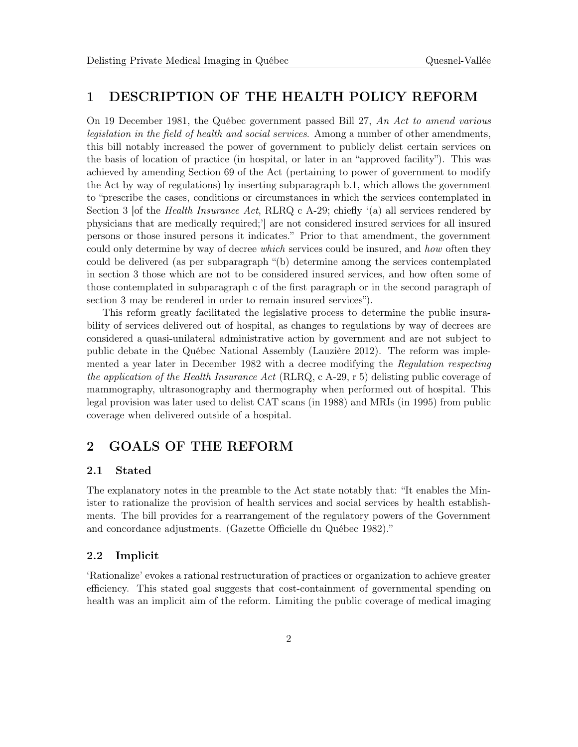# 1 DESCRIPTION OF THE HEALTH POLICY REFORM

On 19 December 1981, the Québec government passed Bill 27, An Act to amend various legislation in the field of health and social services. Among a number of other amendments, this bill notably increased the power of government to publicly delist certain services on the basis of location of practice (in hospital, or later in an "approved facility"). This was achieved by amending Section 69 of the Act (pertaining to power of government to modify the Act by way of regulations) by inserting subparagraph b.1, which allows the government to "prescribe the cases, conditions or circumstances in which the services contemplated in Section 3 [of the *Health Insurance Act*, RLRQ c A-29; chiefly  $($ a) all services rendered by physicians that are medically required;'] are not considered insured services for all insured persons or those insured persons it indicates." Prior to that amendment, the government could only determine by way of decree which services could be insured, and how often they could be delivered (as per subparagraph "(b) determine among the services contemplated in section 3 those which are not to be considered insured services, and how often some of those contemplated in subparagraph c of the first paragraph or in the second paragraph of section 3 may be rendered in order to remain insured services").

This reform greatly facilitated the legislative process to determine the public insurability of services delivered out of hospital, as changes to regulations by way of decrees are considered a quasi-unilateral administrative action by government and are not subject to public debate in the Québec National Assembly (Lauzière 2012). The reform was implemented a year later in December 1982 with a decree modifying the Regulation respecting the application of the Health Insurance Act (RLRQ, c A-29, r 5) delisting public coverage of mammography, ultrasonography and thermography when performed out of hospital. This legal provision was later used to delist CAT scans (in 1988) and MRIs (in 1995) from public coverage when delivered outside of a hospital.

# 2 GOALS OF THE REFORM

#### 2.1 Stated

The explanatory notes in the preamble to the Act state notably that: "It enables the Minister to rationalize the provision of health services and social services by health establishments. The bill provides for a rearrangement of the regulatory powers of the Government and concordance adjustments. (Gazette Officielle du Québec 1982)."

#### 2.2 Implicit

'Rationalize' evokes a rational restructuration of practices or organization to achieve greater efficiency. This stated goal suggests that cost-containment of governmental spending on health was an implicit aim of the reform. Limiting the public coverage of medical imaging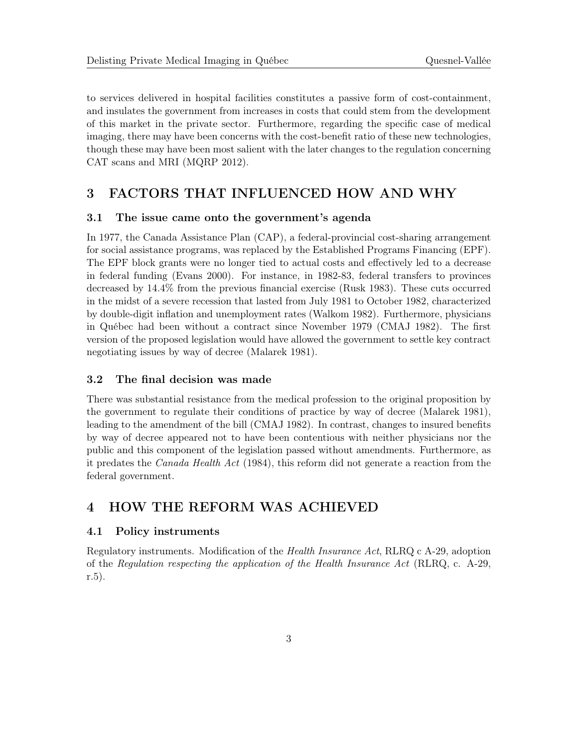to services delivered in hospital facilities constitutes a passive form of cost-containment, and insulates the government from increases in costs that could stem from the development of this market in the private sector. Furthermore, regarding the specific case of medical imaging, there may have been concerns with the cost-benefit ratio of these new technologies, though these may have been most salient with the later changes to the regulation concerning CAT scans and MRI (MQRP 2012).

# 3 FACTORS THAT INFLUENCED HOW AND WHY

# 3.1 The issue came onto the government's agenda

In 1977, the Canada Assistance Plan (CAP), a federal-provincial cost-sharing arrangement for social assistance programs, was replaced by the Established Programs Financing (EPF). The EPF block grants were no longer tied to actual costs and effectively led to a decrease in federal funding (Evans 2000). For instance, in 1982-83, federal transfers to provinces decreased by 14.4% from the previous financial exercise (Rusk 1983). These cuts occurred in the midst of a severe recession that lasted from July 1981 to October 1982, characterized by double-digit inflation and unemployment rates (Walkom 1982). Furthermore, physicians in Québec had been without a contract since November 1979 (CMAJ 1982). The first version of the proposed legislation would have allowed the government to settle key contract negotiating issues by way of decree (Malarek 1981).

# 3.2 The final decision was made

There was substantial resistance from the medical profession to the original proposition by the government to regulate their conditions of practice by way of decree (Malarek 1981), leading to the amendment of the bill (CMAJ 1982). In contrast, changes to insured benefits by way of decree appeared not to have been contentious with neither physicians nor the public and this component of the legislation passed without amendments. Furthermore, as it predates the Canada Health Act (1984), this reform did not generate a reaction from the federal government.

# 4 HOW THE REFORM WAS ACHIEVED

# 4.1 Policy instruments

Regulatory instruments. Modification of the Health Insurance Act, RLRQ c A-29, adoption of the Regulation respecting the application of the Health Insurance Act (RLRQ, c. A-29, r.5).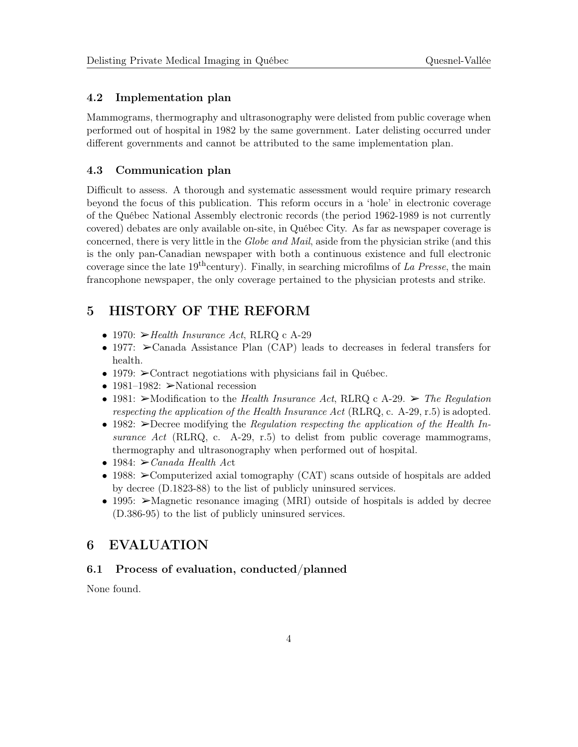# 4.2 Implementation plan

Mammograms, thermography and ultrasonography were delisted from public coverage when performed out of hospital in 1982 by the same government. Later delisting occurred under different governments and cannot be attributed to the same implementation plan.

# 4.3 Communication plan

Difficult to assess. A thorough and systematic assessment would require primary research beyond the focus of this publication. This reform occurs in a 'hole' in electronic coverage of the Québec National Assembly electronic records (the period 1962-1989 is not currently covered) debates are only available on-site, in Québec City. As far as newspaper coverage is concerned, there is very little in the Globe and Mail, aside from the physician strike (and this is the only pan-Canadian newspaper with both a continuous existence and full electronic coverage since the late  $19^{th}$ century). Finally, in searching microfilms of La Presse, the main francophone newspaper, the only coverage pertained to the physician protests and strike.

# 5 HISTORY OF THE REFORM

- 1970:  $\blacktriangleright$  Health Insurance Act, RLRQ c A-29
- 1977:  $\geq$ Canada Assistance Plan (CAP) leads to decreases in federal transfers for health.
- 1979:  $\geq$  Contract negotiations with physicians fail in Québec.
- 1981–1982:  $\triangleright$  National recession
- 1981:  $\triangleright$  Modification to the Health Insurance Act, RLRQ c A-29.  $\triangleright$  The Regulation respecting the application of the Health Insurance Act (RLRQ, c. A-29, r.5) is adopted.
- 1982:  $\geq$ Decree modifying the *Regulation respecting the application of the Health In*surance Act (RLRQ, c. A-29, r.5) to delist from public coverage mammograms, thermography and ultrasonography when performed out of hospital.
- 1984:  $\geq$  Canada Health Act
- 1988:  $\geq$ Computerized axial tomography (CAT) scans outside of hospitals are added by decree (D.1823-88) to the list of publicly uninsured services.
- 1995: >Magnetic resonance imaging (MRI) outside of hospitals is added by decree (D.386-95) to the list of publicly uninsured services.

# 6 EVALUATION

# 6.1 Process of evaluation, conducted/planned

None found.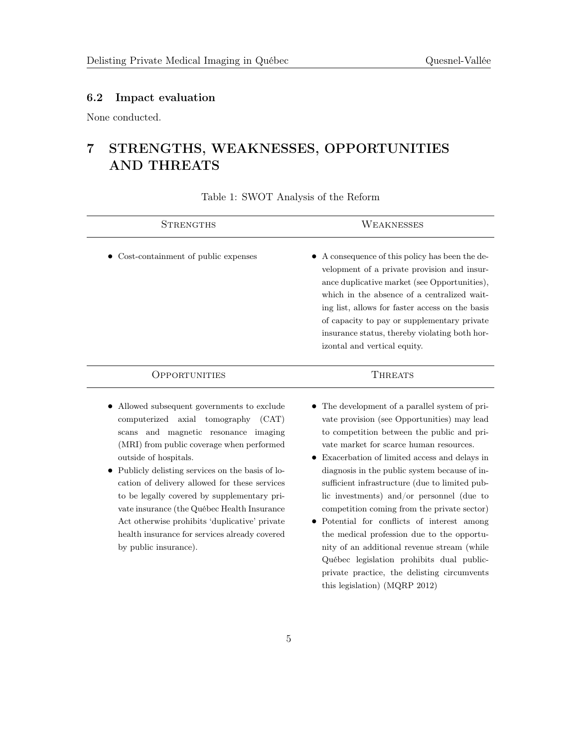# 6.2 Impact evaluation

None conducted.

# 7 STRENGTHS, WEAKNESSES, OPPORTUNITIES AND THREATS

Table 1: SWOT Analysis of the Reform

| <b>STRENGTHS</b>                                                                                                                                                                                                                                                                                                                                                                                                                                                                                                               | WEAKNESSES                                                                                                                                                                                                                                                                                                                                                                                                                                                                                                                                                                    |
|--------------------------------------------------------------------------------------------------------------------------------------------------------------------------------------------------------------------------------------------------------------------------------------------------------------------------------------------------------------------------------------------------------------------------------------------------------------------------------------------------------------------------------|-------------------------------------------------------------------------------------------------------------------------------------------------------------------------------------------------------------------------------------------------------------------------------------------------------------------------------------------------------------------------------------------------------------------------------------------------------------------------------------------------------------------------------------------------------------------------------|
| • Cost-containment of public expenses                                                                                                                                                                                                                                                                                                                                                                                                                                                                                          | A consequence of this policy has been the de-<br>velopment of a private provision and insur-<br>ance duplicative market (see Opportunities),<br>which in the absence of a centralized wait-<br>ing list, allows for faster access on the basis<br>of capacity to pay or supplementary private<br>insurance status, thereby violating both hor-<br>izontal and vertical equity.                                                                                                                                                                                                |
| <i><b>OPPORTUNITIES</b></i>                                                                                                                                                                                                                                                                                                                                                                                                                                                                                                    | <b>THREATS</b>                                                                                                                                                                                                                                                                                                                                                                                                                                                                                                                                                                |
| Allowed subsequent governments to exclude<br>computerized axial tomography (CAT)<br>and magnetic resonance imaging<br>scans<br>(MRI) from public coverage when performed<br>outside of hospitals.<br>Publicly delisting services on the basis of lo-<br>cation of delivery allowed for these services<br>to be legally covered by supplementary pri-<br>vate insurance (the Québec Health Insurance<br>Act otherwise prohibits 'duplicative' private<br>health insurance for services already covered<br>by public insurance). | The development of a parallel system of pri-<br>vate provision (see Opportunities) may lead<br>to competition between the public and pri-<br>vate market for scarce human resources.<br>Exacerbation of limited access and delays in<br>diagnosis in the public system because of in-<br>sufficient infrastructure (due to limited pub-<br>lic investments) and/or personnel (due to<br>competition coming from the private sector)<br>Potential for conflicts of interest among<br>the medical profession due to the opportu-<br>nity of an additional revenue stream (while |

nity of an additional revenue stream (while Québec legislation prohibits dual publicprivate practice, the delisting circumvents this legislation) (MQRP 2012)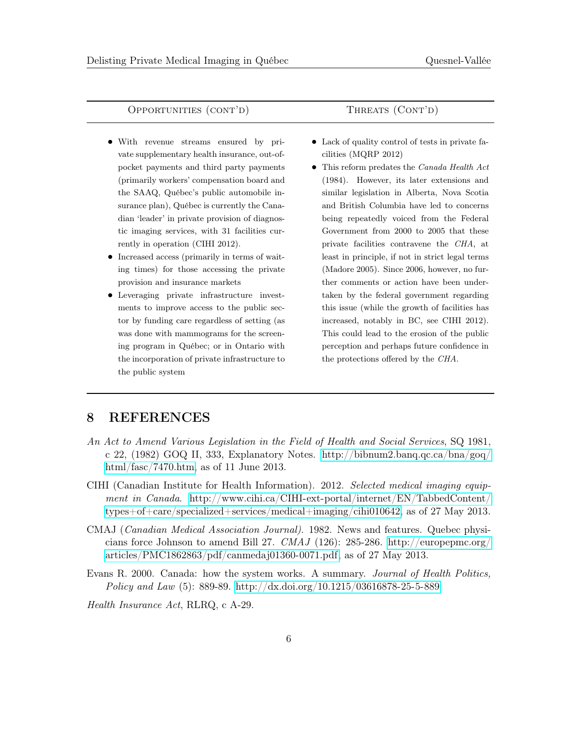# OPPORTUNITIES (CONT'D) THREATS (CONT'D)

- With revenue streams ensured by private supplementary health insurance, out-ofpocket payments and third party payments (primarily workers' compensation board and the SAAQ, Québec's public automobile insurance plan), Québec is currently the Canadian 'leader' in private provision of diagnostic imaging services, with 31 facilities currently in operation (CIHI 2012).
- Increased access (primarily in terms of waiting times) for those accessing the private provision and insurance markets
- Leveraging private infrastructure investments to improve access to the public sector by funding care regardless of setting (as was done with mammograms for the screening program in Québec; or in Ontario with the incorporation of private infrastructure to the public system

- Lack of quality control of tests in private facilities (MQRP 2012)
- This reform predates the *Canada Health Act* (1984). However, its later extensions and similar legislation in Alberta, Nova Scotia and British Columbia have led to concerns being repeatedly voiced from the Federal Government from 2000 to 2005 that these private facilities contravene the CHA, at least in principle, if not in strict legal terms (Madore 2005). Since 2006, however, no further comments or action have been undertaken by the federal government regarding this issue (while the growth of facilities has increased, notably in BC, see CIHI 2012). This could lead to the erosion of the public perception and perhaps future confidence in the protections offered by the CHA.

# 8 REFERENCES

- An Act to Amend Various Legislation in the Field of Health and Social Services, SQ 1981, c 22, (1982) GOQ II, 333, Explanatory Notes. [http://bibnum2.banq.qc.ca/bna/goq/](http://bibnum2.banq.qc.ca/bna/goq/html/fasc/7470.htm) [html/fasc/7470.htm,](http://bibnum2.banq.qc.ca/bna/goq/html/fasc/7470.htm) as of 11 June 2013.
- CIHI (Canadian Institute for Health Information). 2012. Selected medical imaging equipment in Canada. [http://www.cihi.ca/CIHI-ext-portal/internet/EN/TabbedContent/](http://www.cihi.ca/CIHI-ext-portal/internet/EN/TabbedContent/types+of+care/specialized+services/medical+imaging/cihi010642) [types+of+care/specialized+services/medical+imaging/cihi010642,](http://www.cihi.ca/CIHI-ext-portal/internet/EN/TabbedContent/types+of+care/specialized+services/medical+imaging/cihi010642) as of 27 May 2013.
- CMAJ (Canadian Medical Association Journal). 1982. News and features. Quebec physicians force Johnson to amend Bill 27.  $CMAJ$  (126): 285-286. [http://europepmc.org/](http://europepmc.org/articles/PMC1862863/pdf/canmedaj01360-0071.pdf) [articles/PMC1862863/pdf/canmedaj01360-0071.pdf,](http://europepmc.org/articles/PMC1862863/pdf/canmedaj01360-0071.pdf) as of 27 May 2013.
- Evans R. 2000. Canada: how the system works. A summary. Journal of Health Politics, Policy and Law (5): 889-89.<http://dx.doi.org/10.1215/03616878-25-5-889>

Health Insurance Act, RLRQ, c A-29.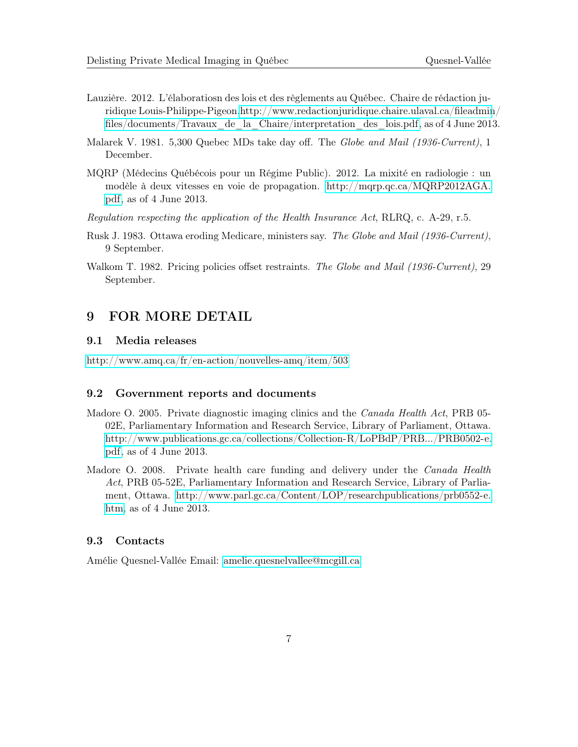- Lauzière. 2012. L'élaboratiosn des lois et des règlements au Québec. Chaire de rédaction juridique Louis-Philippe-Pigeon[.http://www.redactionjuridique.chaire.ulaval.ca/fileadmin](http://www.redactionjuridique.chaire.ulaval.ca/fileadmin/files/documents/Travaux_de_la_Chaire/interpretation_des_lois.pdf)/ [files/documents/Travaux\\_de\\_la\\_Chaire/interpretation\\_des\\_lois.pdf,](http://www.redactionjuridique.chaire.ulaval.ca/fileadmin/files/documents/Travaux_de_la_Chaire/interpretation_des_lois.pdf) as of 4 June 2013.
- Malarek V. 1981. 5,300 Quebec MDs take day off. The Globe and Mail (1936-Current), 1 December.
- MQRP (Médecins Québécois pour un Régime Public). 2012. La mixité en radiologie : un modèle à deux vitesses en voie de propagation. [http://mqrp.qc.ca/MQRP2012AGA.](http://mqrp.qc.ca/MQRP2012AGA.pdf) [pdf,](http://mqrp.qc.ca/MQRP2012AGA.pdf) as of 4 June 2013.
- Regulation respecting the application of the Health Insurance Act, RLRQ, c. A-29, r.5.
- Rusk J. 1983. Ottawa eroding Medicare, ministers say. The Globe and Mail (1936-Current), 9 September.
- Walkom T. 1982. Pricing policies offset restraints. The Globe and Mail (1936-Current), 29 September.

# 9 FOR MORE DETAIL

#### 9.1 Media releases

<http://www.amq.ca/fr/en-action/nouvelles-amq/item/503>

# 9.2 Government reports and documents

- Madore O. 2005. Private diagnostic imaging clinics and the *Canada Health Act*, PRB 05-02E, Parliamentary Information and Research Service, Library of Parliament, Ottawa. [http://www.publications.gc.ca/collections/Collection-R/LoPBdP/PRB.../PRB0502-e.](http://www.publications.gc.ca/collections/Collection-R/LoPBdP/PRB.../PRB0502-e.pdf) [pdf,](http://www.publications.gc.ca/collections/Collection-R/LoPBdP/PRB.../PRB0502-e.pdf) as of 4 June 2013.
- Madore O. 2008. Private health care funding and delivery under the *Canada Health* Act, PRB 05-52E, Parliamentary Information and Research Service, Library of Parliament, Ottawa. [http://www.parl.gc.ca/Content/LOP/researchpublications/prb0552-e.](http://www.parl.gc.ca/Content/LOP/researchpublications/prb0552-e.htm) [htm,](http://www.parl.gc.ca/Content/LOP/researchpublications/prb0552-e.htm) as of 4 June 2013.

# 9.3 Contacts

Amélie Quesnel-Vallée Email: [amelie.quesnelvallee@mcgill.ca](mailto:amelie.quesnelvallee@mcgill.ca)